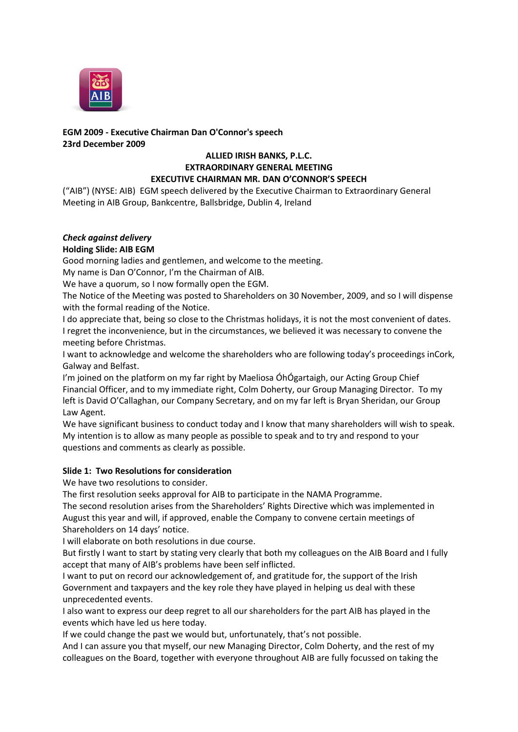

# **EGM 2009 - Executive Chairman Dan O'Connor's speech 23rd December 2009**

# **ALLIED IRISH BANKS, P.L.C. EXTRAORDINARY GENERAL MEETING EXECUTIVE CHAIRMAN MR. DAN O'CONNOR'S SPEECH**

("AIB") (NYSE: AIB) EGM speech delivered by the Executive Chairman to Extraordinary General Meeting in AIB Group, Bankcentre, Ballsbridge, Dublin 4, Ireland

# *Check against delivery*

# **Holding Slide: AIB EGM**

Good morning ladies and gentlemen, and welcome to the meeting.

My name is Dan O'Connor, I'm the Chairman of AIB.

We have a quorum, so I now formally open the EGM.

The Notice of the Meeting was posted to Shareholders on 30 November, 2009, and so I will dispense with the formal reading of the Notice.

I do appreciate that, being so close to the Christmas holidays, it is not the most convenient of dates. I regret the inconvenience, but in the circumstances, we believed it was necessary to convene the meeting before Christmas.

I want to acknowledge and welcome the shareholders who are following today's proceedings inCork, Galway and Belfast.

I'm joined on the platform on my far right by Maeliosa ÓhÓgartaigh, our Acting Group Chief Financial Officer, and to my immediate right, Colm Doherty, our Group Managing Director. To my left is David O'Callaghan, our Company Secretary, and on my far left is Bryan Sheridan, our Group Law Agent.

We have significant business to conduct today and I know that many shareholders will wish to speak. My intention is to allow as many people as possible to speak and to try and respond to your questions and comments as clearly as possible.

# **Slide 1: Two Resolutions for consideration**

We have two resolutions to consider.

The first resolution seeks approval for AIB to participate in the NAMA Programme.

The second resolution arises from the Shareholders' Rights Directive which was implemented in August this year and will, if approved, enable the Company to convene certain meetings of Shareholders on 14 days' notice.

I will elaborate on both resolutions in due course.

But firstly I want to start by stating very clearly that both my colleagues on the AIB Board and I fully accept that many of AIB's problems have been self inflicted.

I want to put on record our acknowledgement of, and gratitude for, the support of the Irish Government and taxpayers and the key role they have played in helping us deal with these unprecedented events.

I also want to express our deep regret to all our shareholders for the part AIB has played in the events which have led us here today.

If we could change the past we would but, unfortunately, that's not possible.

And I can assure you that myself, our new Managing Director, Colm Doherty, and the rest of my colleagues on the Board, together with everyone throughout AIB are fully focussed on taking the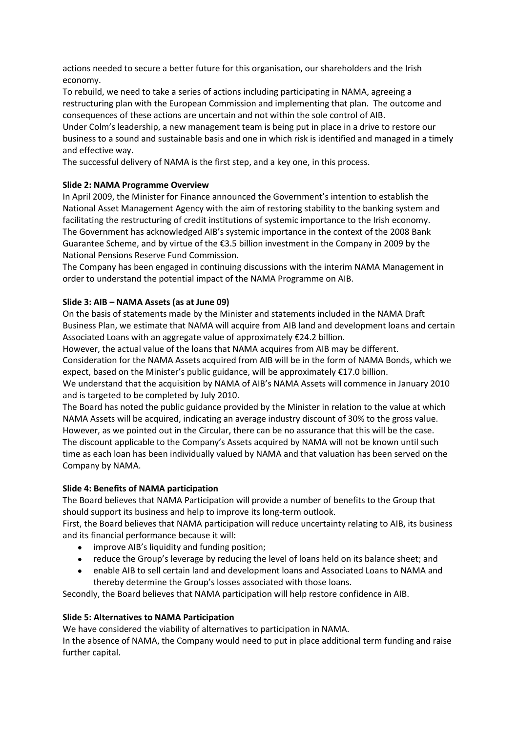actions needed to secure a better future for this organisation, our shareholders and the Irish economy.

To rebuild, we need to take a series of actions including participating in NAMA, agreeing a restructuring plan with the European Commission and implementing that plan. The outcome and consequences of these actions are uncertain and not within the sole control of AIB.

Under Colm's leadership, a new management team is being put in place in a drive to restore our business to a sound and sustainable basis and one in which risk is identified and managed in a timely and effective way.

The successful delivery of NAMA is the first step, and a key one, in this process.

# **Slide 2: NAMA Programme Overview**

In April 2009, the Minister for Finance announced the Government's intention to establish the National Asset Management Agency with the aim of restoring stability to the banking system and facilitating the restructuring of credit institutions of systemic importance to the Irish economy. The Government has acknowledged AIB's systemic importance in the context of the 2008 Bank Guarantee Scheme, and by virtue of the €3.5 billion investment in the Company in 2009 by the National Pensions Reserve Fund Commission.

The Company has been engaged in continuing discussions with the interim NAMA Management in order to understand the potential impact of the NAMA Programme on AIB.

## **Slide 3: AIB – NAMA Assets (as at June 09)**

On the basis of statements made by the Minister and statements included in the NAMA Draft Business Plan, we estimate that NAMA will acquire from AIB land and development loans and certain Associated Loans with an aggregate value of approximately €24.2 billion.

However, the actual value of the loans that NAMA acquires from AIB may be different. Consideration for the NAMA Assets acquired from AIB will be in the form of NAMA Bonds, which we expect, based on the Minister's public guidance, will be approximately €17.0 billion.

We understand that the acquisition by NAMA of AIB's NAMA Assets will commence in January 2010 and is targeted to be completed by July 2010.

The Board has noted the public guidance provided by the Minister in relation to the value at which NAMA Assets will be acquired, indicating an average industry discount of 30% to the gross value. However, as we pointed out in the Circular, there can be no assurance that this will be the case. The discount applicable to the Company's Assets acquired by NAMA will not be known until such time as each loan has been individually valued by NAMA and that valuation has been served on the Company by NAMA.

#### **Slide 4: Benefits of NAMA participation**

The Board believes that NAMA Participation will provide a number of benefits to the Group that should support its business and help to improve its long-term outlook.

First, the Board believes that NAMA participation will reduce uncertainty relating to AIB, its business and its financial performance because it will:

- improve AIB's liquidity and funding position;
- reduce the Group's leverage by reducing the level of loans held on its balance sheet; and  $\bullet$
- enable AIB to sell certain land and development loans and Associated Loans to NAMA and thereby determine the Group's losses associated with those loans.

Secondly, the Board believes that NAMA participation will help restore confidence in AIB.

#### **Slide 5: Alternatives to NAMA Participation**

We have considered the viability of alternatives to participation in NAMA.

In the absence of NAMA, the Company would need to put in place additional term funding and raise further capital.